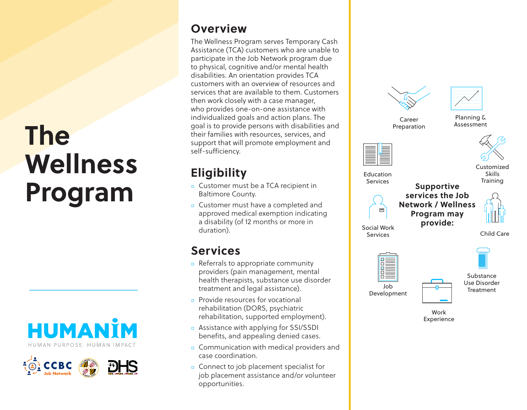# **The Wellness Program**





#### **Overview**

The Wellness Program serves Temporary Cash Assistance (TCA) customers who are unable to participate in the Job Network program due to physical, cognitive and/or mental health disabilities. An orientation provides TCA customers with an overview of resources and services that are available to them. Customers then work closely with a case manager, who provides one-on-one assistance with individualized goals and action plans. The goal is to provide persons with disabilities and their families with resources, services, and support that will promote employment and self-sufficiency.

### **Eligibility**

- ◻ Customer must be a TCA recipient in Baltimore County.
- ◻ Customer must have a completed and approved medical exemption indicating a disability (of 12 months or more in duration).

#### **Services**

- ◻ Referrals to appropriate community providers (pain management, mental health therapists, substance use disorder treatment and legal assistance).
- ◻ Provide resources for vocational rehabilitation (DORS, psychiatric rehabilitation, supported employment).
- ◻ Assistance with applying for SSI/SSDI benefits, and appealing denied cases.
- ◻ Communication with medical providers and case coordination.
- ◻ Connect to job placement specialist for job placement assistance and/or volunteer opportunities.